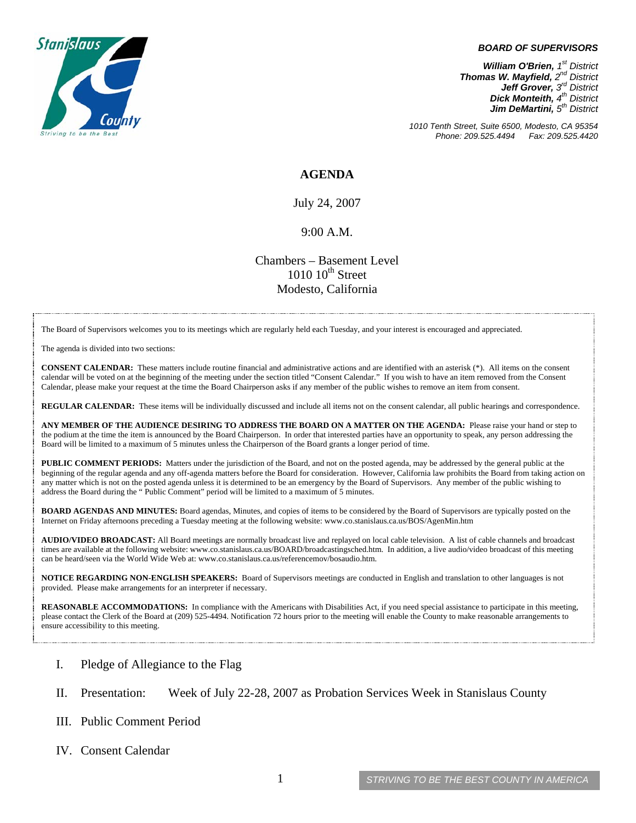

#### *BOARD OF SUPERVISORS*

*William O'Brien, 1st District Thomas W. Mayfield, 2nd District Jeff Grover, 3rd District Dick Monteith, 4th District Jim DeMartini,*  $5<sup>th</sup>$  District

*1010 Tenth Street, Suite 6500, Modesto, CA 95354 Phone: 209.525.4494 Fax: 209.525.4420* 

### **AGENDA**

July 24, 2007

### 9:00 A.M.

Chambers – Basement Level  $1010~10<sup>th</sup>$  Street Modesto, California

The Board of Supervisors welcomes you to its meetings which are regularly held each Tuesday, and your interest is encouraged and appreciated.

The agenda is divided into two sections:

**CONSENT CALENDAR:** These matters include routine financial and administrative actions and are identified with an asterisk (\*). All items on the consent calendar will be voted on at the beginning of the meeting under the section titled "Consent Calendar." If you wish to have an item removed from the Consent Calendar, please make your request at the time the Board Chairperson asks if any member of the public wishes to remove an item from consent.

**REGULAR CALENDAR:** These items will be individually discussed and include all items not on the consent calendar, all public hearings and correspondence.

**ANY MEMBER OF THE AUDIENCE DESIRING TO ADDRESS THE BOARD ON A MATTER ON THE AGENDA:** Please raise your hand or step to the podium at the time the item is announced by the Board Chairperson. In order that interested parties have an opportunity to speak, any person addressing the Board will be limited to a maximum of 5 minutes unless the Chairperson of the Board grants a longer period of time.

**PUBLIC COMMENT PERIODS:** Matters under the jurisdiction of the Board, and not on the posted agenda, may be addressed by the general public at the beginning of the regular agenda and any off-agenda matters before the Board for consideration. However, California law prohibits the Board from taking action on any matter which is not on the posted agenda unless it is determined to be an emergency by the Board of Supervisors. Any member of the public wishing to address the Board during the " Public Comment" period will be limited to a maximum of 5 minutes.

**BOARD AGENDAS AND MINUTES:** Board agendas, Minutes, and copies of items to be considered by the Board of Supervisors are typically posted on the Internet on Friday afternoons preceding a Tuesday meeting at the following website: [www.co.stanislaus.ca.us/BOS/AgenMin.htm](http://www.co.stanislaus.ca.us/BOS/AgenMin.htm) 

**AUDIO/VIDEO BROADCAST:** All Board meetings are normally broadcast live and replayed on local cable television. A list of cable channels and broadcast times are available at the following website: [www.co.stanislaus.ca.us/BOARD/broadcastingsched.htm](http://www.co.stanislaus.ca.us/BOARD/broadcastingsched.htm). In addition, a live audio/video broadcast of this meeting can be heard/seen via the World Wide Web at: [www.co.stanislaus.ca.us/referencemov/bosaudio.htm.](http://www.co.stanislaus.ca.us/referencemov/bosaudio.htm)

**NOTICE REGARDING NON-ENGLISH SPEAKERS:** Board of Supervisors meetings are conducted in English and translation to other languages is not provided. Please make arrangements for an interpreter if necessary.

**REASONABLE ACCOMMODATIONS:** In compliance with the Americans with Disabilities Act, if you need special assistance to participate in this meeting, please contact the Clerk of the Board at (209) 525-4494. Notification 72 hours prior to the meeting will enable the County to make reasonable arrangements to ensure accessibility to this meeting.

#### I. Pledge of Allegiance to the Flag

- II. Presentation: Week of July 22-28, 2007 as Probation Services Week in Stanislaus County
- III. Public Comment Period
- IV. Consent Calendar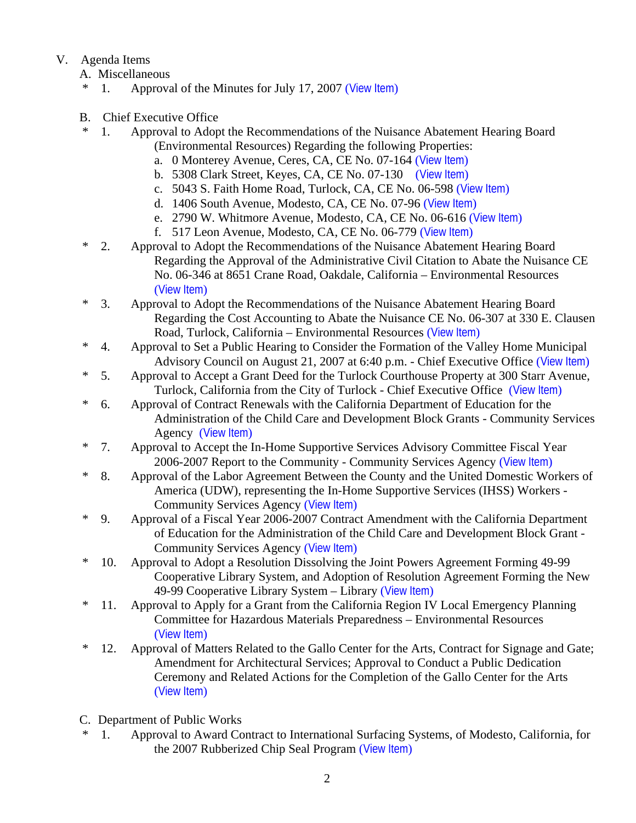# V. Agenda Items

- A. Miscellaneous
- \* 1. Approval of the Minutes for July 17, 2007 ([View Item](http://www.co.stanislaus.ca.us/bos/minutes/2007/min07-17-07.pdf))
- B. Chief Executive Office
	- \* 1. Approval to Adopt the Recommendations of the Nuisance Abatement Hearing Board (Environmental Resources) Regarding the following Properties:
		- a. 0 Monterey Avenue, Ceres, CA, CE No. 07-164 ([View Item](http://www.co.stanislaus.ca.us/bos/agenda/2007/20070724/B01a.pdf))
		- b. 5308 Clark Street, Keyes, CA, CE No. 07-130 ([View Item](http://www.co.stanislaus.ca.us/bos/agenda/2007/20070724/B01b.pdf))
		- c. 5043 S. Faith Home Road, Turlock, CA, CE No. 06-598 ([View Item](http://www.co.stanislaus.ca.us/bos/agenda/2007/20070724/B01c.pdf))
		- d. 1406 South Avenue, Modesto, CA, CE No. 07-96 ([View Item](http://www.co.stanislaus.ca.us/bos/agenda/2007/20070724/B01d.pdf))
		- e. 2790 W. Whitmore Avenue, Modesto, CA, CE No. 06-616 ([View Item](http://www.co.stanislaus.ca.us/bos/agenda/2007/20070724/B01e.pdf))
		- f. 517 Leon Avenue, Modesto, CA, CE No. 06-779 ([View Item](http://www.co.stanislaus.ca.us/bos/agenda/2007/20070724/B01f.pdf))
- \* 2. Approval to Adopt the Recommendations of the Nuisance Abatement Hearing Board Regarding the Approval of the Administrative Civil Citation to Abate the Nuisance CE No. 06-346 at 8651 Crane Road, Oakdale, California – Environmental Resources ([View Item](http://www.co.stanislaus.ca.us/bos/agenda/2007/20070724/B02.pdf))
- \* 3. Approval to Adopt the Recommendations of the Nuisance Abatement Hearing Board Regarding the Cost Accounting to Abate the Nuisance CE No. 06-307 at 330 E. Clausen Road, Turlock, California – Environmental Resources ([View Item](http://www.co.stanislaus.ca.us/bos/agenda/2007/20070724/B03.pdf))
- \* 4. Approval to Set a Public Hearing to Consider the Formation of the Valley Home Municipal Advisory Council on August 21, 2007 at 6:40 p.m. - Chief Executive Office ([View Item](http://www.co.stanislaus.ca.us/bos/agenda/2007/20070724/B04.pdf))
- \* 5. Approval to Accept a Grant Deed for the Turlock Courthouse Property at 300 Starr Avenue, Turlock, California from the City of Turlock - Chief Executive Office ([View Item](http://www.co.stanislaus.ca.us/bos/agenda/2007/20070724/B05.pdf))
- \* 6. Approval of Contract Renewals with the California Department of Education for the Administration of the Child Care and Development Block Grants - Community Services Agency ([View Item](http://www.co.stanislaus.ca.us/bos/agenda/2007/20070724/B06.pdf))
- \* 7. Approval to Accept the In-Home Supportive Services Advisory Committee Fiscal Year 2006-2007 Report to the Community - Community Services Agency ([View Item](http://www.co.stanislaus.ca.us/bos/agenda/2007/20070724/B07.pdf))
- \* 8. Approval of the Labor Agreement Between the County and the United Domestic Workers of America (UDW), representing the In-Home Supportive Services (IHSS) Workers - Community Services Agency ([View Item](http://www.co.stanislaus.ca.us/bos/agenda/2007/20070724/B08.pdf))
- \* 9. Approval of a Fiscal Year 2006-2007 Contract Amendment with the California Department of Education for the Administration of the Child Care and Development Block Grant - Community Services Agency ([View Item](http://www.co.stanislaus.ca.us/bos/agenda/2007/20070724/B09.pdf))
- \* 10. Approval to Adopt a Resolution Dissolving the Joint Powers Agreement Forming 49-99 Cooperative Library System, and Adoption of Resolution Agreement Forming the New 49-99 Cooperative Library System – Library ([View Item](http://www.co.stanislaus.ca.us/bos/agenda/2007/20070724/B10.pdf))
- \* 11. Approval to Apply for a Grant from the California Region IV Local Emergency Planning Committee for Hazardous Materials Preparedness – Environmental Resources ([View Item](http://www.co.stanislaus.ca.us/bos/agenda/2007/20070724/B11.pdf))
- \* 12. Approval of Matters Related to the Gallo Center for the Arts, Contract for Signage and Gate; Amendment for Architectural Services; Approval to Conduct a Public Dedication Ceremony and Related Actions for the Completion of the Gallo Center for the Arts ([View Item](http://www.co.stanislaus.ca.us/bos/agenda/2007/20070724/B12.pdf))
- C. Department of Public Works
- \* 1. Approval to Award Contract to International Surfacing Systems, of Modesto, California, for the 2007 Rubberized Chip Seal Program ([View Item](http://www.co.stanislaus.ca.us/bos/agenda/2007/20070724/C01.pdf))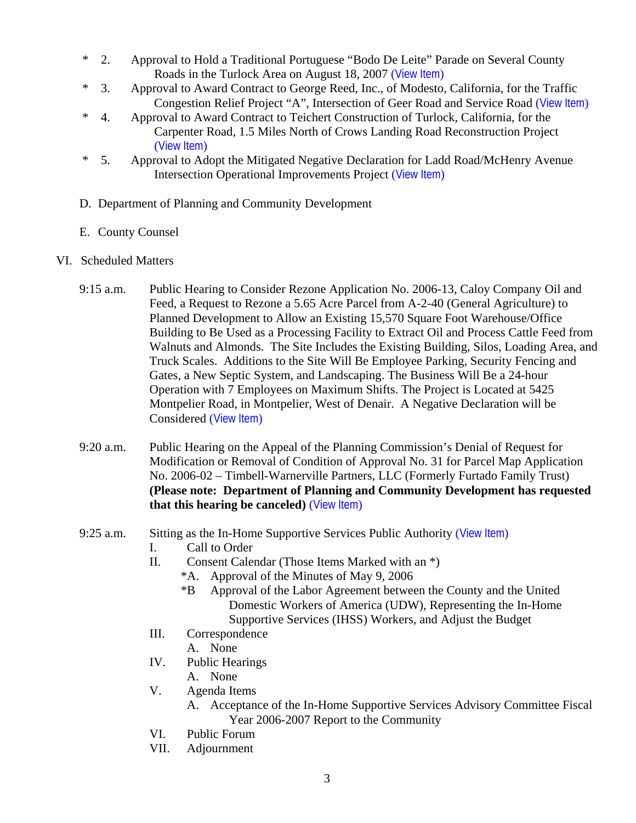- \* 2. Approval to Hold a Traditional Portuguese "Bodo De Leite" Parade on Several County Roads in the Turlock Area on August 18, 2007 ([View Item](http://www.co.stanislaus.ca.us/bos/agenda/2007/20070724/C02.pdf))
- \* 3. Approval to Award Contract to George Reed, Inc., of Modesto, California, for the Traffic Congestion Relief Project "A", Intersection of Geer Road and Service Road ([View Item](http://www.co.stanislaus.ca.us/bos/agenda/2007/20070724/C03.pdf))
- \* 4. Approval to Award Contract to Teichert Construction of Turlock, California, for the Carpenter Road, 1.5 Miles North of Crows Landing Road Reconstruction Project ([View Item](http://www.co.stanislaus.ca.us/bos/agenda/2007/20070724/C04.pdf))
- \* 5. Approval to Adopt the Mitigated Negative Declaration for Ladd Road/McHenry Avenue Intersection Operational Improvements Project ([View Item](http://www.co.stanislaus.ca.us/bos/agenda/2007/20070724/C05.pdf))
- D. Department of Planning and Community Development
- E. County Counsel
- VI. Scheduled Matters
	- 9:15 a.m. Public Hearing to Consider Rezone Application No. 2006-13, Caloy Company Oil and Feed, a Request to Rezone a 5.65 Acre Parcel from A-2-40 (General Agriculture) to Planned Development to Allow an Existing 15,570 Square Foot Warehouse/Office Building to Be Used as a Processing Facility to Extract Oil and Process Cattle Feed from Walnuts and Almonds. The Site Includes the Existing Building, Silos, Loading Area, and Truck Scales. Additions to the Site Will Be Employee Parking, Security Fencing and Gates, a New Septic System, and Landscaping. The Business Will Be a 24-hour Operation with 7 Employees on Maximum Shifts. The Project is Located at 5425 Montpelier Road, in Montpelier, West of Denair. A Negative Declaration will be Considered ([View Item](http://www.co.stanislaus.ca.us/bos/agenda/2007/20070724/PH915.pdf))
	- 9:20 a.m. Public Hearing on the Appeal of the Planning Commission's Denial of Request for Modification or Removal of Condition of Approval No. 31 for Parcel Map Application No. 2006-02 – Timbell-Warnerville Partners, LLC (Formerly Furtado Family Trust) **(Please note: Department of Planning and Community Development has requested that this hearing be canceled)** ([View Item](http://www.co.stanislaus.ca.us/bos/agenda/2007/20070724/PH920.pdf))
	- 9:25 a.m. Sitting as the In-Home Supportive Services Public Authority ([View Item](http://www.co.stanislaus.ca.us/bos/agenda/2007/20070724/PH925.pdf))
		- I. Call to Order
		- II. Consent Calendar (Those Items Marked with an \*)
			- \*A. Approval of the Minutes of May 9, 2006
			- \*B Approval of the Labor Agreement between the County and the United Domestic Workers of America (UDW), Representing the In-Home Supportive Services (IHSS) Workers, and Adjust the Budget
		- III. Correspondence
			- A. None
		- IV. Public Hearings
			- A. None
		- V. Agenda Items
			- A. Acceptance of the In-Home Supportive Services Advisory Committee Fiscal Year 2006-2007 Report to the Community
		- VI. Public Forum
		- VII. Adjournment